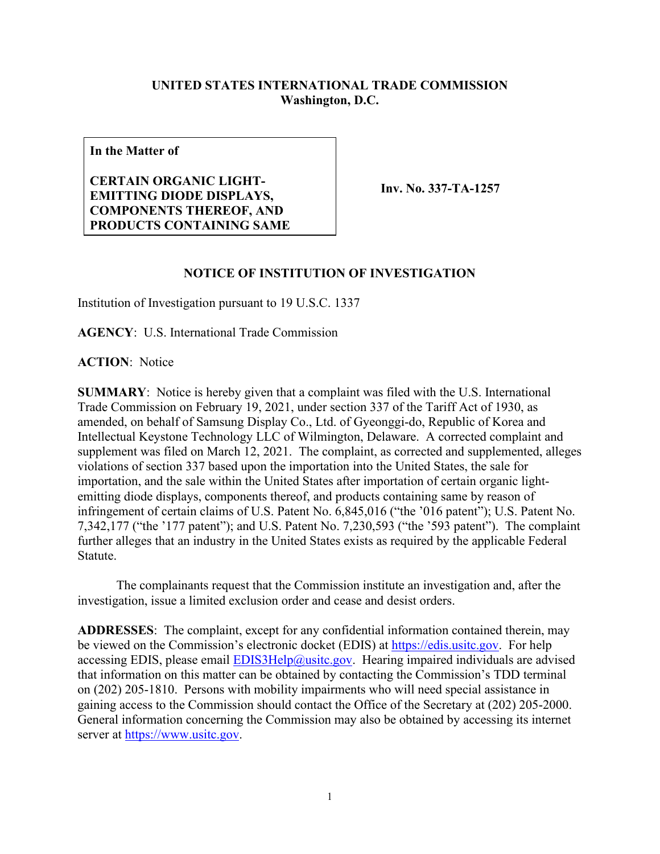## **UNITED STATES INTERNATIONAL TRADE COMMISSION Washington, D.C.**

**In the Matter of**

## **CERTAIN ORGANIC LIGHT-EMITTING DIODE DISPLAYS, COMPONENTS THEREOF, AND PRODUCTS CONTAINING SAME**

**Inv. No. 337-TA-1257**

## **NOTICE OF INSTITUTION OF INVESTIGATION**

Institution of Investigation pursuant to 19 U.S.C. 1337

**AGENCY**: U.S. International Trade Commission

**ACTION**: Notice

**SUMMARY**: Notice is hereby given that a complaint was filed with the U.S. International Trade Commission on February 19, 2021, under section 337 of the Tariff Act of 1930, as amended, on behalf of Samsung Display Co., Ltd. of Gyeonggi-do, Republic of Korea and Intellectual Keystone Technology LLC of Wilmington, Delaware. A corrected complaint and supplement was filed on March 12, 2021. The complaint, as corrected and supplemented, alleges violations of section 337 based upon the importation into the United States, the sale for importation, and the sale within the United States after importation of certain organic lightemitting diode displays, components thereof, and products containing same by reason of infringement of certain claims of U.S. Patent No. 6,845,016 ("the '016 patent"); U.S. Patent No. 7,342,177 ("the '177 patent"); and U.S. Patent No. 7,230,593 ("the '593 patent"). The complaint further alleges that an industry in the United States exists as required by the applicable Federal Statute.

The complainants request that the Commission institute an investigation and, after the investigation, issue a limited exclusion order and cease and desist orders.

**ADDRESSES**: The complaint, except for any confidential information contained therein, may be viewed on the Commission's electronic docket (EDIS) at [https://edis.usitc.gov.](https://edis.usitc.gov/) For help accessing EDIS, please email  $EDIS3Help@usite.gov$ . Hearing impaired individuals are advised that information on this matter can be obtained by contacting the Commission's TDD terminal on (202) 205-1810. Persons with mobility impairments who will need special assistance in gaining access to the Commission should contact the Office of the Secretary at (202) 205-2000. General information concerning the Commission may also be obtained by accessing its internet server at [https://www.usitc.gov.](https://www.usitc.gov/)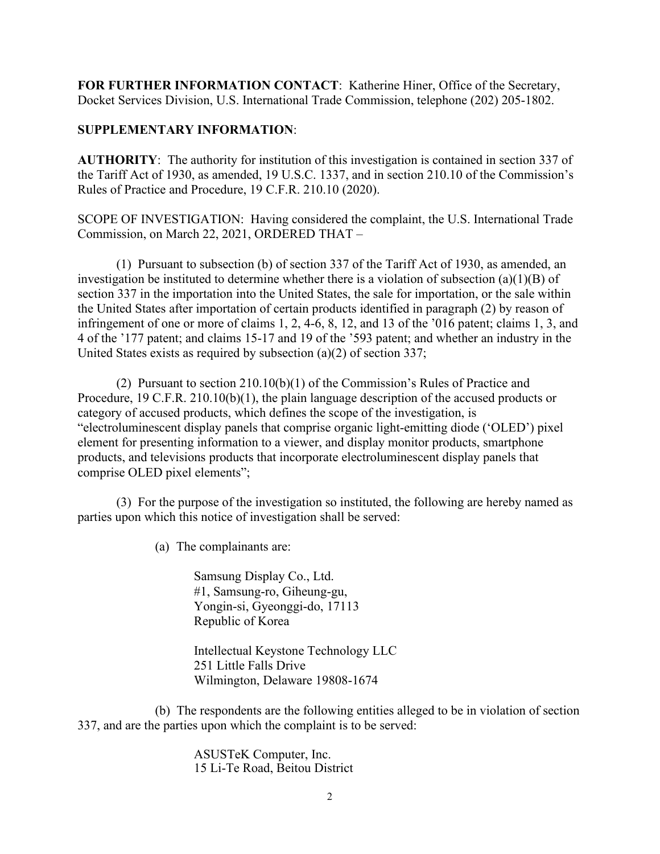**FOR FURTHER INFORMATION CONTACT**: Katherine Hiner, Office of the Secretary, Docket Services Division, U.S. International Trade Commission, telephone (202) 205-1802.

## **SUPPLEMENTARY INFORMATION**:

**AUTHORITY**: The authority for institution of this investigation is contained in section 337 of the Tariff Act of 1930, as amended, 19 U.S.C. 1337, and in section 210.10 of the Commission's Rules of Practice and Procedure, 19 C.F.R. 210.10 (2020).

SCOPE OF INVESTIGATION: Having considered the complaint, the U.S. International Trade Commission, on March 22, 2021, ORDERED THAT –

(1) Pursuant to subsection (b) of section 337 of the Tariff Act of 1930, as amended, an investigation be instituted to determine whether there is a violation of subsection (a)(1)(B) of section 337 in the importation into the United States, the sale for importation, or the sale within the United States after importation of certain products identified in paragraph (2) by reason of infringement of one or more of claims 1, 2, 4-6, 8, 12, and 13 of the '016 patent; claims 1, 3, and 4 of the '177 patent; and claims 15-17 and 19 of the '593 patent; and whether an industry in the United States exists as required by subsection (a)(2) of section 337;

(2) Pursuant to section 210.10(b)(1) of the Commission's Rules of Practice and Procedure, 19 C.F.R. 210.10(b)(1), the plain language description of the accused products or category of accused products, which defines the scope of the investigation, is "electroluminescent display panels that comprise organic light-emitting diode ('OLED') pixel element for presenting information to a viewer, and display monitor products, smartphone products, and televisions products that incorporate electroluminescent display panels that comprise OLED pixel elements";

(3) For the purpose of the investigation so instituted, the following are hereby named as parties upon which this notice of investigation shall be served:

(a) The complainants are:

Samsung Display Co., Ltd. #1, Samsung-ro, Giheung-gu, Yongin-si, Gyeonggi-do, 17113 Republic of Korea

Intellectual Keystone Technology LLC 251 Little Falls Drive Wilmington, Delaware 19808-1674

(b) The respondents are the following entities alleged to be in violation of section 337, and are the parties upon which the complaint is to be served:

> ASUSTeK Computer, Inc. 15 Li-Te Road, Beitou District